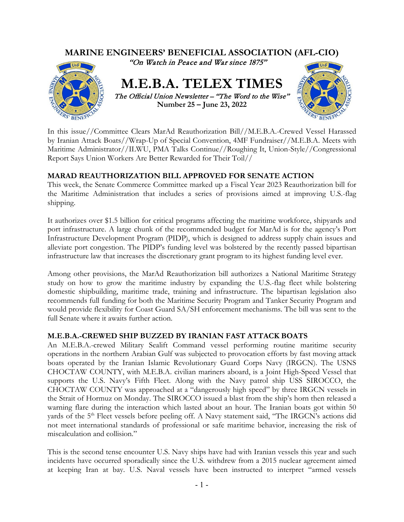

In this issue//Committee Clears MarAd Reauthorization Bill//M.E.B.A.-Crewed Vessel Harassed by Iranian Attack Boats//Wrap-Up of Special Convention, 4MF Fundraiser//M.E.B.A. Meets with Maritime Administrator//ILWU, PMA Talks Continue//Roughing It, Union-Style//Congressional Report Says Union Workers Are Better Rewarded for Their Toil//

# **MARAD REAUTHORIZATION BILL APPROVED FOR SENATE ACTION**

This week, the Senate Commerce Committee marked up a Fiscal Year 2023 Reauthorization bill for the Maritime Administration that includes a series of provisions aimed at improving U.S.-flag shipping.

It authorizes over \$1.5 billion for critical programs affecting the maritime workforce, shipyards and port infrastructure. A large chunk of the recommended budget for MarAd is for the agency's Port Infrastructure Development Program (PIDP), which is designed to address supply chain issues and alleviate port congestion. The PIDP's funding level was bolstered by the recently passed bipartisan infrastructure law that increases the discretionary grant program to its highest funding level ever.

Among other provisions, the MarAd Reauthorization bill authorizes a National Maritime Strategy study on how to grow the maritime industry by expanding the U.S.-flag fleet while bolstering domestic shipbuilding, maritime trade, training and infrastructure. The bipartisan legislation also recommends full funding for both the Maritime Security Program and Tanker Security Program and would provide flexibility for Coast Guard SA/SH enforcement mechanisms. The bill was sent to the full Senate where it awaits further action.

# **M.E.B.A.-CREWED SHIP BUZZED BY IRANIAN FAST ATTACK BOATS**

An M.E.B.A.-crewed Military Sealift Command vessel performing routine maritime security operations in the northern Arabian Gulf was subjected to provocation efforts by fast moving attack boats operated by the Iranian Islamic Revolutionary Guard Corps Navy (IRGCN). The USNS CHOCTAW COUNTY, with M.E.B.A. civilian mariners aboard, is a Joint High-Speed Vessel that supports the U.S. Navy's Fifth Fleet. Along with the Navy patrol ship USS SIROCCO, the CHOCTAW COUNTY was approached at a "dangerously high speed" by three IRGCN vessels in the Strait of Hormuz on Monday. The SIROCCO issued a blast from the ship's horn then released a warning flare during the interaction which lasted about an hour. The Iranian boats got within 50 yards of the 5<sup>th</sup> Fleet vessels before peeling off. A Navy statement said, "The IRGCN's actions did not meet international standards of professional or safe maritime behavior, increasing the risk of miscalculation and collision."

This is the second tense encounter U.S. Navy ships have had with Iranian vessels this year and such incidents have occurred sporadically since the U.S. withdrew from a 2015 nuclear agreement aimed at keeping Iran at bay. U.S. Naval vessels have been instructed to interpret "armed vessels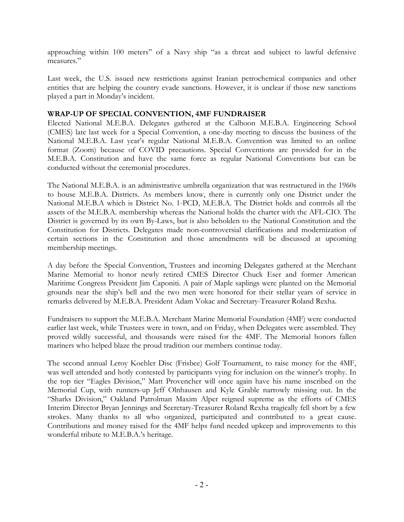approaching within 100 meters" of a Navy ship "as a threat and subject to lawful defensive measures."

Last week, the U.S. issued new restrictions against Iranian petrochemical companies and other entities that are helping the country evade sanctions. However, it is unclear if those new sanctions played a part in Monday's incident.

### **WRAP-UP OF SPECIAL CONVENTION, 4MF FUNDRAISER**

Elected National M.E.B.A. Delegates gathered at the Calhoon M.E.B.A. Engineering School (CMES) late last week for a Special Convention, a one-day meeting to discuss the business of the National M.E.B.A. Last year's regular National M.E.B.A. Convention was limited to an online format (Zoom) because of COVID precautions. Special Conventions are provided for in the M.E.B.A. Constitution and have the same force as regular National Conventions but can be conducted without the ceremonial procedures.

The National M.E.B.A. is an administrative umbrella organization that was restructured in the 1960s to house M.E.B.A. Districts. As members know, there is currently only one District under the National M.E.B.A which is District No. 1-PCD, M.E.B.A. The District holds and controls all the assets of the M.E.B.A. membership whereas the National holds the charter with the AFL-CIO. The District is governed by its own By-Laws, but is also beholden to the National Constitution and the Constitution for Districts. Delegates made non-controversial clarifications and modernization of certain sections in the Constitution and those amendments will be discussed at upcoming membership meetings.

A day before the Special Convention, Trustees and incoming Delegates gathered at the Merchant Marine Memorial to honor newly retired CMES Director Chuck Eser and former American Maritime Congress President Jim Caponiti. A pair of Maple saplings were planted on the Memorial grounds near the ship's bell and the two men were honored for their stellar years of service in remarks delivered by M.E.B.A. President Adam Vokac and Secretary-Treasurer Roland Rexha.

Fundraisers to support the M.E.B.A. Merchant Marine Memorial Foundation (4MF) were conducted earlier last week, while Trustees were in town, and on Friday, when Delegates were assembled. They proved wildly successful, and thousands were raised for the 4MF. The Memorial honors fallen mariners who helped blaze the proud tradition our members continue today.

The second annual Leroy Koehler Disc (Frisbee) Golf Tournament, to raise money for the 4MF, was well attended and hotly contested by participants vying for inclusion on the winner's trophy. In the top tier "Eagles Division," Matt Provencher will once again have his name inscribed on the Memorial Cup, with runners-up Jeff Olnhausen and Kyle Grable narrowly missing out. In the "Sharks Division," Oakland Patrolman Maxim Alper reigned supreme as the efforts of CMES Interim Director Bryan Jennings and Secretary-Treasurer Roland Rexha tragically fell short by a few strokes. Many thanks to all who organized, participated and contributed to a great cause. Contributions and money raised for the 4MF helps fund needed upkeep and improvements to this wonderful tribute to M.E.B.A.'s heritage.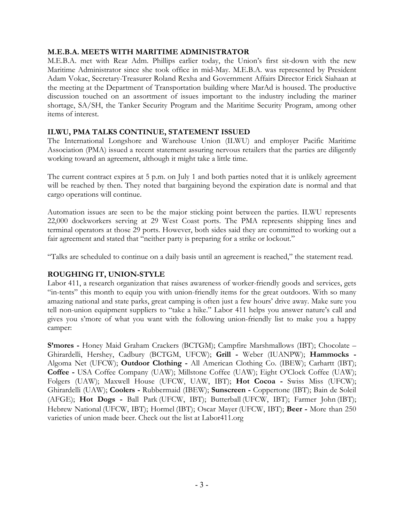#### **M.E.B.A. MEETS WITH MARITIME ADMINISTRATOR**

M.E.B.A. met with Rear Adm. Phillips earlier today, the Union's first sit-down with the new Maritime Administrator since she took office in mid-May. M.E.B.A. was represented by President Adam Vokac, Secretary-Treasurer Roland Rexha and Government Affairs Director Erick Siahaan at the meeting at the Department of Transportation building where MarAd is housed. The productive discussion touched on an assortment of issues important to the industry including the mariner shortage, SA/SH, the Tanker Security Program and the Maritime Security Program, among other items of interest.

#### **ILWU, PMA TALKS CONTINUE, STATEMENT ISSUED**

The International Longshore and Warehouse Union (ILWU) and employer Pacific Maritime Association (PMA) issued a recent statement assuring nervous retailers that the parties are diligently working toward an agreement, although it might take a little time.

The current contract expires at 5 p.m. on July 1 and both parties noted that it is unlikely agreement will be reached by then. They noted that bargaining beyond the expiration date is normal and that cargo operations will continue.

Automation issues are seen to be the major sticking point between the parties. ILWU represents 22,000 dockworkers serving at 29 West Coast ports. The PMA represents shipping lines and terminal operators at those 29 ports. However, both sides said they are committed to working out a fair agreement and stated that "neither party is preparing for a strike or lockout."

"Talks are scheduled to continue on a daily basis until an agreement is reached," the statement read.

#### **ROUGHING IT, UNION-STYLE**

Labor 411, a research organization that raises awareness of worker-friendly goods and services, gets "in-tents" this month to equip you with union-friendly items for the great outdoors. With so many amazing national and state parks, great camping is often just a few hours' drive away. Make sure you tell non-union equipment suppliers to "take a hike." Labor 411 helps you answer nature's call and gives you s'more of what you want with the following union-friendly list to make you a happy camper:

**S'mores -** Honey Maid Graham Crackers (BCTGM); Campfire Marshmallows (IBT); Chocolate – Ghirardelli, Hershey, Cadbury (BCTGM, UFCW); **Grill -** Weber (IUANPW); **Hammocks -** Algoma Net (UFCW); **Outdoor Clothing -** All American Clothing Co. (IBEW); Carhartt (IBT); **Coffee -** USA Coffee Company (UAW); Millstone Coffee (UAW); Eight O'Clock Coffee (UAW); Folgers (UAW); Maxwell House (UFCW, UAW, IBT); **Hot Cocoa -** Swiss Miss (UFCW); Ghirardelli (UAW); **Coolers -** Rubbermaid (IBEW); **Sunscreen -** Coppertone (IBT); Bain de Soleil (AFGE); **Hot Dogs -** Ball Park (UFCW, IBT); Butterball (UFCW, IBT); Farmer John (IBT); Hebrew National (UFCW, IBT); Hormel (IBT); Oscar Mayer (UFCW, IBT); **Beer -** More than 250 varieties of union made beer. Check out the list at Labor411.org